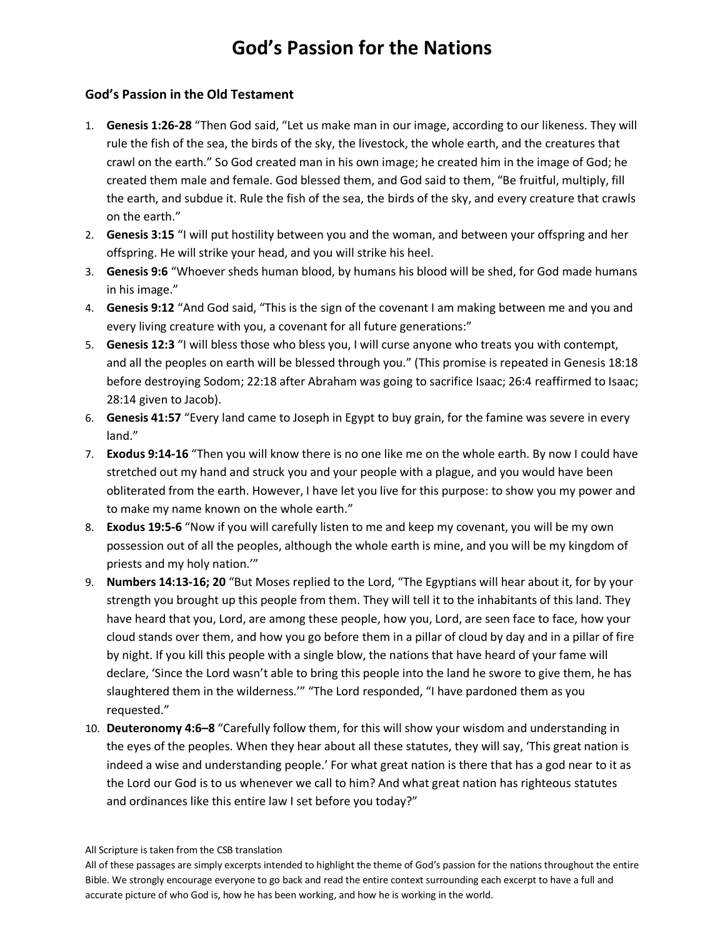### **God's Passion in the Old Testament**

- 1. **Genesis 1:26-28** "Then God said, "Let us make man in our image, according to our likeness. They will rule the fish of the sea, the birds of the sky, the livestock, the whole earth, and the creatures that crawl on the earth." So God created man in his own image; he created him in the image of God; he created them male and female. God blessed them, and God said to them, "Be fruitful, multiply, fill the earth, and subdue it. Rule the fish of the sea, the birds of the sky, and every creature that crawls on the earth."
- 2. **Genesis 3:15** "I will put hostility between you and the woman, and between your offspring and her offspring. He will strike your head, and you will strike his heel.
- 3. **Genesis 9:6** "Whoever sheds human blood, by humans his blood will be shed, for God made humans in his image."
- 4. **Genesis 9:12** "And God said, "This is the sign of the covenant I am making between me and you and every living creature with you, a covenant for all future generations:"
- 5. **Genesis 12:3** "I will bless those who bless you, I will curse anyone who treats you with contempt, and all the peoples on earth will be blessed through you." (This promise is repeated in Genesis 18:18 before destroying Sodom; 22:18 after Abraham was going to sacrifice Isaac; 26:4 reaffirmed to Isaac; 28:14 given to Jacob).
- 6. **Genesis 41:57** "Every land came to Joseph in Egypt to buy grain, for the famine was severe in every land."
- 7. **Exodus 9:14-16** "Then you will know there is no one like me on the whole earth. By now I could have stretched out my hand and struck you and your people with a plague, and you would have been obliterated from the earth. However, I have let you live for this purpose: to show you my power and to make my name known on the whole earth."
- 8. **Exodus 19:5-6** "Now if you will carefully listen to me and keep my covenant, you will be my own possession out of all the peoples, although the whole earth is mine, and you will be my kingdom of priests and my holy nation.'"
- 9. **Numbers 14:13-16; 20** "But Moses replied to the Lord, "The Egyptians will hear about it, for by your strength you brought up this people from them. They will tell it to the inhabitants of this land. They have heard that you, Lord, are among these people, how you, Lord, are seen face to face, how your cloud stands over them, and how you go before them in a pillar of cloud by day and in a pillar of fire by night. If you kill this people with a single blow, the nations that have heard of your fame will declare, 'Since the Lord wasn't able to bring this people into the land he swore to give them, he has slaughtered them in the wilderness.'" "The Lord responded, "I have pardoned them as you requested."
- 10. **Deuteronomy 4:6–8** "Carefully follow them, for this will show your wisdom and understanding in the eyes of the peoples. When they hear about all these statutes, they will say, 'This great nation is indeed a wise and understanding people.' For what great nation is there that has a god near to it as the Lord our God is to us whenever we call to him? And what great nation has righteous statutes and ordinances like this entire law I set before you today?"

All of these passages are simply excerpts intended to highlight the theme of God's passion for the nations throughout the entire Bible. We strongly encourage everyone to go back and read the entire context surrounding each excerpt to have a full and accurate picture of who God is, how he has been working, and how he is working in the world.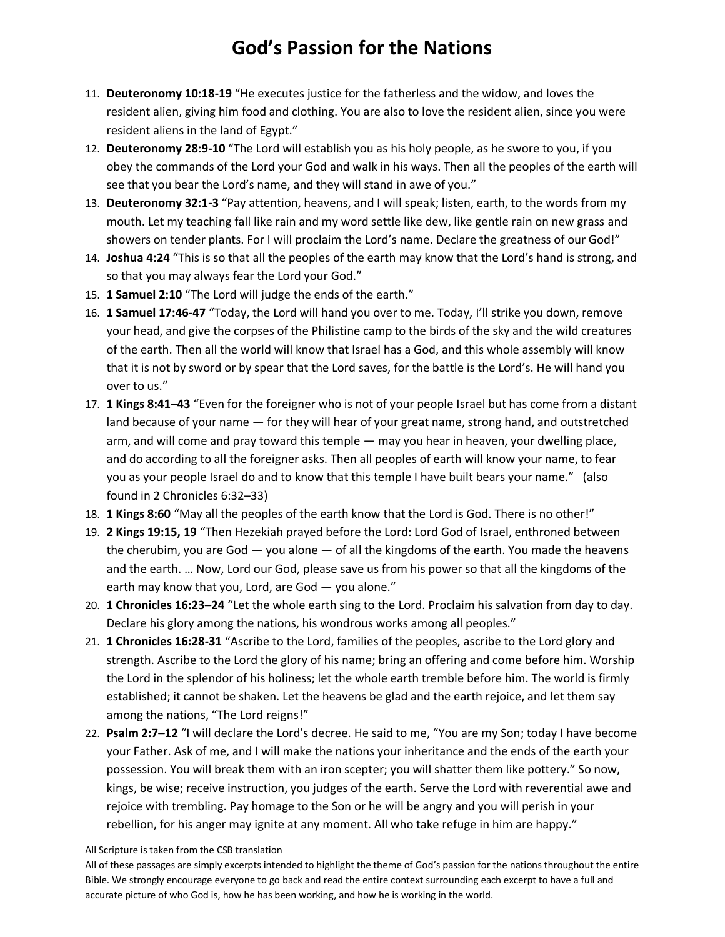- 11. **Deuteronomy 10:18-19** "He executes justice for the fatherless and the widow, and loves the resident alien, giving him food and clothing. You are also to love the resident alien, since you were resident aliens in the land of Egypt."
- 12. **Deuteronomy 28:9-10** "The Lord will establish you as his holy people, as he swore to you, if you obey the commands of the Lord your God and walk in his ways. Then all the peoples of the earth will see that you bear the Lord's name, and they will stand in awe of you."
- 13. **Deuteronomy 32:1-3** "Pay attention, heavens, and I will speak; listen, earth, to the words from my mouth. Let my teaching fall like rain and my word settle like dew, like gentle rain on new grass and showers on tender plants. For I will proclaim the Lord's name. Declare the greatness of our God!"
- 14. **Joshua 4:24** "This is so that all the peoples of the earth may know that the Lord's hand is strong, and so that you may always fear the Lord your God."
- 15. **1 Samuel 2:10** "The Lord will judge the ends of the earth."
- 16. **1 Samuel 17:46-47** "Today, the Lord will hand you over to me. Today, I'll strike you down, remove your head, and give the corpses of the Philistine camp to the birds of the sky and the wild creatures of the earth. Then all the world will know that Israel has a God, and this whole assembly will know that it is not by sword or by spear that the Lord saves, for the battle is the Lord's. He will hand you over to us."
- 17. **1 Kings 8:41–43** "Even for the foreigner who is not of your people Israel but has come from a distant land because of your name — for they will hear of your great name, strong hand, and outstretched arm, and will come and pray toward this temple — may you hear in heaven, your dwelling place, and do according to all the foreigner asks. Then all peoples of earth will know your name, to fear you as your people Israel do and to know that this temple I have built bears your name." (also found in 2 Chronicles 6:32–33)
- 18. **1 Kings 8:60** "May all the peoples of the earth know that the Lord is God. There is no other!"
- 19. **2 Kings 19:15, 19** "Then Hezekiah prayed before the Lord: Lord God of Israel, enthroned between the cherubim, you are God — you alone — of all the kingdoms of the earth. You made the heavens and the earth. … Now, Lord our God, please save us from his power so that all the kingdoms of the earth may know that you, Lord, are God - you alone."
- 20. **1 Chronicles 16:23–24** "Let the whole earth sing to the Lord. Proclaim his salvation from day to day. Declare his glory among the nations, his wondrous works among all peoples."
- 21. **1 Chronicles 16:28-31** "Ascribe to the Lord, families of the peoples, ascribe to the Lord glory and strength. Ascribe to the Lord the glory of his name; bring an offering and come before him. Worship the Lord in the splendor of his holiness; let the whole earth tremble before him. The world is firmly established; it cannot be shaken. Let the heavens be glad and the earth rejoice, and let them say among the nations, "The Lord reigns!"
- 22. **Psalm 2:7–12** "I will declare the Lord's decree. He said to me, "You are my Son; today I have become your Father. Ask of me, and I will make the nations your inheritance and the ends of the earth your possession. You will break them with an iron scepter; you will shatter them like pottery." So now, kings, be wise; receive instruction, you judges of the earth. Serve the Lord with reverential awe and rejoice with trembling. Pay homage to the Son or he will be angry and you will perish in your rebellion, for his anger may ignite at any moment. All who take refuge in him are happy."

#### All Scripture is taken from the CSB translation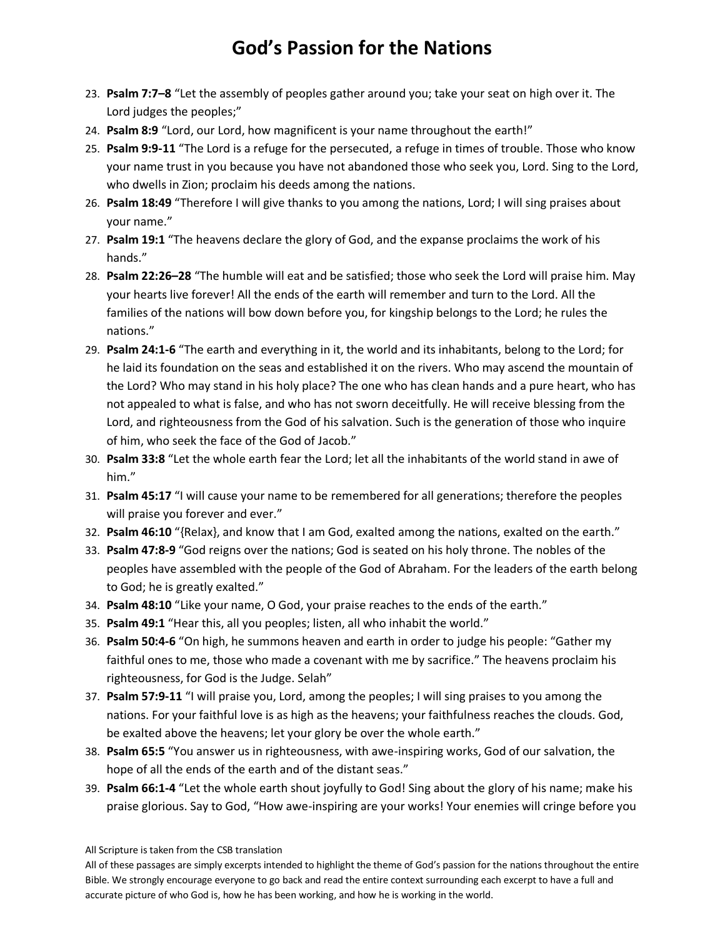- 23. **Psalm 7:7–8** "Let the assembly of peoples gather around you; take your seat on high over it. The Lord judges the peoples;"
- 24. **Psalm 8:9** "Lord, our Lord, how magnificent is your name throughout the earth!"
- 25. **Psalm 9:9-11** "The Lord is a refuge for the persecuted, a refuge in times of trouble. Those who know your name trust in you because you have not abandoned those who seek you, Lord. Sing to the Lord, who dwells in Zion; proclaim his deeds among the nations.
- 26. **Psalm 18:49** "Therefore I will give thanks to you among the nations, Lord; I will sing praises about your name."
- 27. **Psalm 19:1** "The heavens declare the glory of God, and the expanse proclaims the work of his hands."
- 28. **Psalm 22:26–28** "The humble will eat and be satisfied; those who seek the Lord will praise him. May your hearts live forever! All the ends of the earth will remember and turn to the Lord. All the families of the nations will bow down before you, for kingship belongs to the Lord; he rules the nations."
- 29. **Psalm 24:1-6** "The earth and everything in it, the world and its inhabitants, belong to the Lord; for he laid its foundation on the seas and established it on the rivers. Who may ascend the mountain of the Lord? Who may stand in his holy place? The one who has clean hands and a pure heart, who has not appealed to what is false, and who has not sworn deceitfully. He will receive blessing from the Lord, and righteousness from the God of his salvation. Such is the generation of those who inquire of him, who seek the face of the God of Jacob."
- 30. **Psalm 33:8** "Let the whole earth fear the Lord; let all the inhabitants of the world stand in awe of him."
- 31. **Psalm 45:17** "I will cause your name to be remembered for all generations; therefore the peoples will praise you forever and ever."
- 32. **Psalm 46:10** "{Relax}, and know that I am God, exalted among the nations, exalted on the earth."
- 33. **Psalm 47:8-9** "God reigns over the nations; God is seated on his holy throne. The nobles of the peoples have assembled with the people of the God of Abraham. For the leaders of the earth belong to God; he is greatly exalted."
- 34. **Psalm 48:10** "Like your name, O God, your praise reaches to the ends of the earth."
- 35. **Psalm 49:1** "Hear this, all you peoples; listen, all who inhabit the world."
- 36. **Psalm 50:4-6** "On high, he summons heaven and earth in order to judge his people: "Gather my faithful ones to me, those who made a covenant with me by sacrifice." The heavens proclaim his righteousness, for God is the Judge. Selah"
- 37. **Psalm 57:9-11** "I will praise you, Lord, among the peoples; I will sing praises to you among the nations. For your faithful love is as high as the heavens; your faithfulness reaches the clouds. God, be exalted above the heavens; let your glory be over the whole earth."
- 38. **Psalm 65:5** "You answer us in righteousness, with awe-inspiring works, God of our salvation, the hope of all the ends of the earth and of the distant seas."
- 39. **Psalm 66:1-4** "Let the whole earth shout joyfully to God! Sing about the glory of his name; make his praise glorious. Say to God, "How awe-inspiring are your works! Your enemies will cringe before you

All of these passages are simply excerpts intended to highlight the theme of God's passion for the nations throughout the entire Bible. We strongly encourage everyone to go back and read the entire context surrounding each excerpt to have a full and accurate picture of who God is, how he has been working, and how he is working in the world.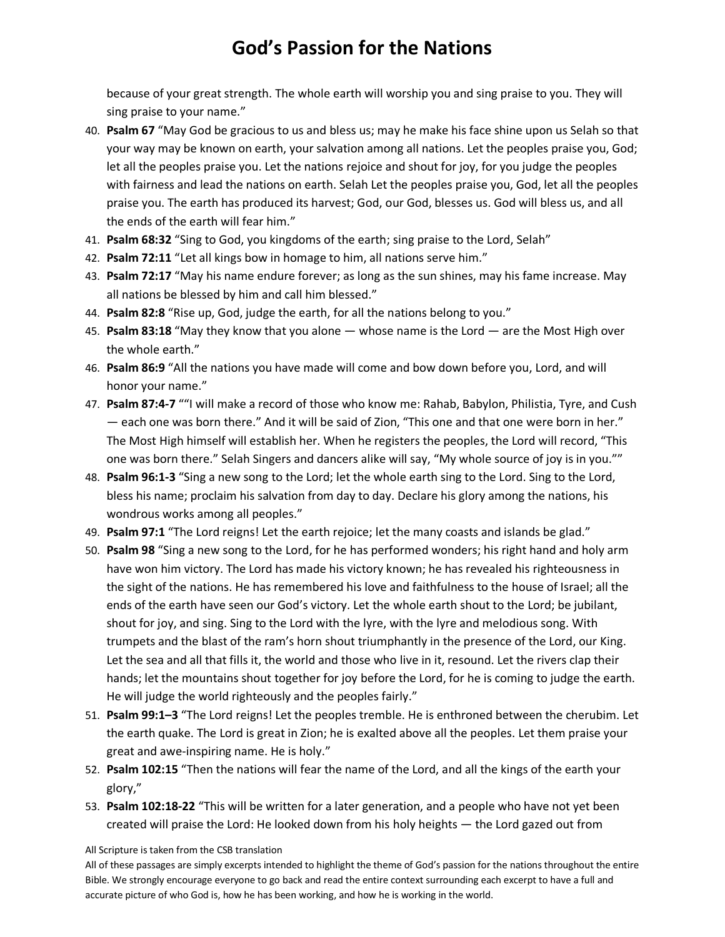because of your great strength. The whole earth will worship you and sing praise to you. They will sing praise to your name."

- 40. **Psalm 67** "May God be gracious to us and bless us; may he make his face shine upon us Selah so that your way may be known on earth, your salvation among all nations. Let the peoples praise you, God; let all the peoples praise you. Let the nations rejoice and shout for joy, for you judge the peoples with fairness and lead the nations on earth. Selah Let the peoples praise you, God, let all the peoples praise you. The earth has produced its harvest; God, our God, blesses us. God will bless us, and all the ends of the earth will fear him."
- 41. **Psalm 68:32** "Sing to God, you kingdoms of the earth; sing praise to the Lord, Selah"
- 42. **Psalm 72:11** "Let all kings bow in homage to him, all nations serve him."
- 43. **Psalm 72:17** "May his name endure forever; as long as the sun shines, may his fame increase. May all nations be blessed by him and call him blessed."
- 44. **Psalm 82:8** "Rise up, God, judge the earth, for all the nations belong to you."
- 45. **Psalm 83:18** "May they know that you alone whose name is the Lord are the Most High over the whole earth."
- 46. **Psalm 86:9** "All the nations you have made will come and bow down before you, Lord, and will honor your name."
- 47. **Psalm 87:4-7** ""I will make a record of those who know me: Rahab, Babylon, Philistia, Tyre, and Cush — each one was born there." And it will be said of Zion, "This one and that one were born in her." The Most High himself will establish her. When he registers the peoples, the Lord will record, "This one was born there." Selah Singers and dancers alike will say, "My whole source of joy is in you.""
- 48. **Psalm 96:1-3** "Sing a new song to the Lord; let the whole earth sing to the Lord. Sing to the Lord, bless his name; proclaim his salvation from day to day. Declare his glory among the nations, his wondrous works among all peoples."
- 49. **Psalm 97:1** "The Lord reigns! Let the earth rejoice; let the many coasts and islands be glad."
- 50. **Psalm 98** "Sing a new song to the Lord, for he has performed wonders; his right hand and holy arm have won him victory. The Lord has made his victory known; he has revealed his righteousness in the sight of the nations. He has remembered his love and faithfulness to the house of Israel; all the ends of the earth have seen our God's victory. Let the whole earth shout to the Lord; be jubilant, shout for joy, and sing. Sing to the Lord with the lyre, with the lyre and melodious song. With trumpets and the blast of the ram's horn shout triumphantly in the presence of the Lord, our King. Let the sea and all that fills it, the world and those who live in it, resound. Let the rivers clap their hands; let the mountains shout together for joy before the Lord, for he is coming to judge the earth. He will judge the world righteously and the peoples fairly."
- 51. **Psalm 99:1–3** "The Lord reigns! Let the peoples tremble. He is enthroned between the cherubim. Let the earth quake. The Lord is great in Zion; he is exalted above all the peoples. Let them praise your great and awe-inspiring name. He is holy."
- 52. **Psalm 102:15** "Then the nations will fear the name of the Lord, and all the kings of the earth your glory,"
- 53. **Psalm 102:18-22** "This will be written for a later generation, and a people who have not yet been created will praise the Lord: He looked down from his holy heights — the Lord gazed out from

### All Scripture is taken from the CSB translation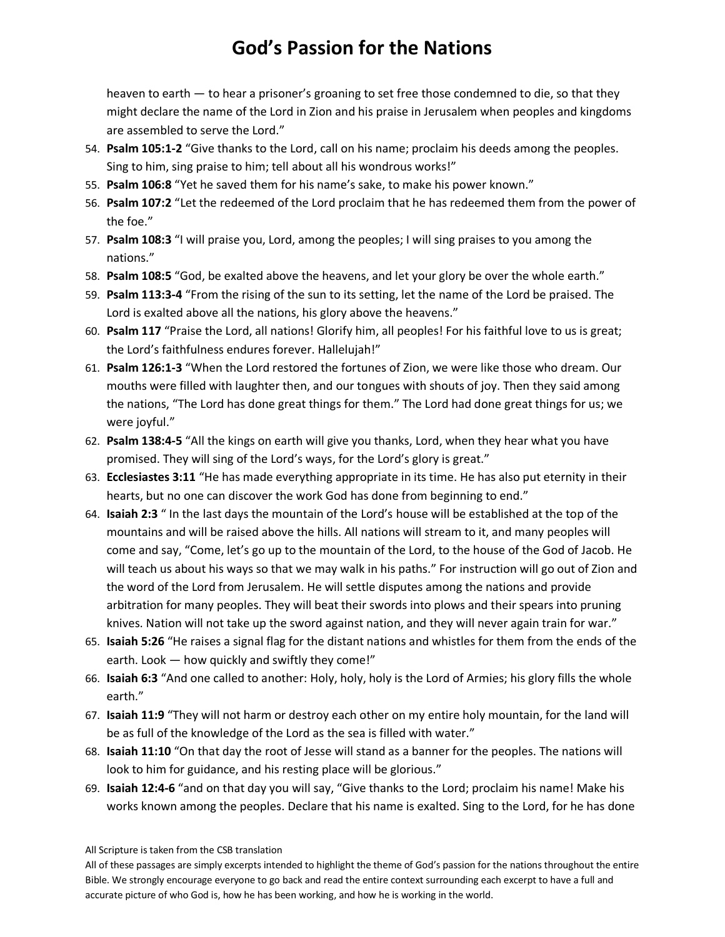heaven to earth — to hear a prisoner's groaning to set free those condemned to die, so that they might declare the name of the Lord in Zion and his praise in Jerusalem when peoples and kingdoms are assembled to serve the Lord."

- 54. **Psalm 105:1-2** "Give thanks to the Lord, call on his name; proclaim his deeds among the peoples. Sing to him, sing praise to him; tell about all his wondrous works!"
- 55. **Psalm 106:8** "Yet he saved them for his name's sake, to make his power known."
- 56. **Psalm 107:2** "Let the redeemed of the Lord proclaim that he has redeemed them from the power of the foe."
- 57. **Psalm 108:3** "I will praise you, Lord, among the peoples; I will sing praises to you among the nations."
- 58. **Psalm 108:5** "God, be exalted above the heavens, and let your glory be over the whole earth."
- 59. **Psalm 113:3-4** "From the rising of the sun to its setting, let the name of the Lord be praised. The Lord is exalted above all the nations, his glory above the heavens."
- 60. **Psalm 117** "Praise the Lord, all nations! Glorify him, all peoples! For his faithful love to us is great; the Lord's faithfulness endures forever. Hallelujah!"
- 61. **Psalm 126:1-3** "When the Lord restored the fortunes of Zion, we were like those who dream. Our mouths were filled with laughter then, and our tongues with shouts of joy. Then they said among the nations, "The Lord has done great things for them." The Lord had done great things for us; we were joyful."
- 62. **Psalm 138:4-5** "All the kings on earth will give you thanks, Lord, when they hear what you have promised. They will sing of the Lord's ways, for the Lord's glory is great."
- 63. **Ecclesiastes 3:11** "He has made everything appropriate in its time. He has also put eternity in their hearts, but no one can discover the work God has done from beginning to end."
- 64. **Isaiah 2:3** " In the last days the mountain of the Lord's house will be established at the top of the mountains and will be raised above the hills. All nations will stream to it, and many peoples will come and say, "Come, let's go up to the mountain of the Lord, to the house of the God of Jacob. He will teach us about his ways so that we may walk in his paths." For instruction will go out of Zion and the word of the Lord from Jerusalem. He will settle disputes among the nations and provide arbitration for many peoples. They will beat their swords into plows and their spears into pruning knives. Nation will not take up the sword against nation, and they will never again train for war."
- 65. **Isaiah 5:26** "He raises a signal flag for the distant nations and whistles for them from the ends of the earth. Look — how quickly and swiftly they come!"
- 66. **Isaiah 6:3** "And one called to another: Holy, holy, holy is the Lord of Armies; his glory fills the whole earth."
- 67. **Isaiah 11:9** "They will not harm or destroy each other on my entire holy mountain, for the land will be as full of the knowledge of the Lord as the sea is filled with water."
- 68. **Isaiah 11:10** "On that day the root of Jesse will stand as a banner for the peoples. The nations will look to him for guidance, and his resting place will be glorious."
- 69. **Isaiah 12:4-6** "and on that day you will say, "Give thanks to the Lord; proclaim his name! Make his works known among the peoples. Declare that his name is exalted. Sing to the Lord, for he has done

All Scripture is taken from the CSB translation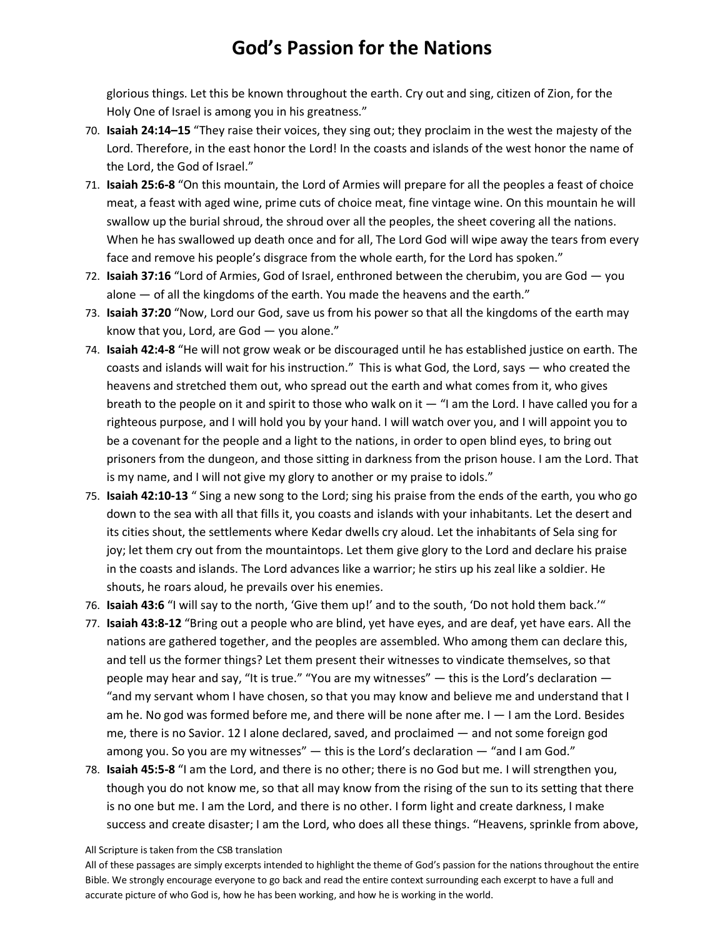glorious things. Let this be known throughout the earth. Cry out and sing, citizen of Zion, for the Holy One of Israel is among you in his greatness."

- 70. **Isaiah 24:14–15** "They raise their voices, they sing out; they proclaim in the west the majesty of the Lord. Therefore, in the east honor the Lord! In the coasts and islands of the west honor the name of the Lord, the God of Israel."
- 71. **Isaiah 25:6-8** "On this mountain, the Lord of Armies will prepare for all the peoples a feast of choice meat, a feast with aged wine, prime cuts of choice meat, fine vintage wine. On this mountain he will swallow up the burial shroud, the shroud over all the peoples, the sheet covering all the nations. When he has swallowed up death once and for all, The Lord God will wipe away the tears from every face and remove his people's disgrace from the whole earth, for the Lord has spoken."
- 72. **Isaiah 37:16** "Lord of Armies, God of Israel, enthroned between the cherubim, you are God you alone — of all the kingdoms of the earth. You made the heavens and the earth."
- 73. **Isaiah 37:20** "Now, Lord our God, save us from his power so that all the kingdoms of the earth may know that you, Lord, are God — you alone."
- 74. **Isaiah 42:4-8** "He will not grow weak or be discouraged until he has established justice on earth. The coasts and islands will wait for his instruction." This is what God, the Lord, says — who created the heavens and stretched them out, who spread out the earth and what comes from it, who gives breath to the people on it and spirit to those who walk on it  $-$  "I am the Lord. I have called you for a righteous purpose, and I will hold you by your hand. I will watch over you, and I will appoint you to be a covenant for the people and a light to the nations, in order to open blind eyes, to bring out prisoners from the dungeon, and those sitting in darkness from the prison house. I am the Lord. That is my name, and I will not give my glory to another or my praise to idols."
- 75. **Isaiah 42:10-13** " Sing a new song to the Lord; sing his praise from the ends of the earth, you who go down to the sea with all that fills it, you coasts and islands with your inhabitants. Let the desert and its cities shout, the settlements where Kedar dwells cry aloud. Let the inhabitants of Sela sing for joy; let them cry out from the mountaintops. Let them give glory to the Lord and declare his praise in the coasts and islands. The Lord advances like a warrior; he stirs up his zeal like a soldier. He shouts, he roars aloud, he prevails over his enemies.
- 76. **Isaiah 43:6** "I will say to the north, 'Give them up!' and to the south, 'Do not hold them back.'"
- 77. **Isaiah 43:8-12** "Bring out a people who are blind, yet have eyes, and are deaf, yet have ears. All the nations are gathered together, and the peoples are assembled. Who among them can declare this, and tell us the former things? Let them present their witnesses to vindicate themselves, so that people may hear and say, "It is true." "You are my witnesses" — this is the Lord's declaration — "and my servant whom I have chosen, so that you may know and believe me and understand that I am he. No god was formed before me, and there will be none after me.  $I - I$  am the Lord. Besides me, there is no Savior. 12 I alone declared, saved, and proclaimed — and not some foreign god among you. So you are my witnesses"  $-$  this is the Lord's declaration  $-$  "and I am God."
- 78. **Isaiah 45:5-8** "I am the Lord, and there is no other; there is no God but me. I will strengthen you, though you do not know me, so that all may know from the rising of the sun to its setting that there is no one but me. I am the Lord, and there is no other. I form light and create darkness, I make success and create disaster; I am the Lord, who does all these things. "Heavens, sprinkle from above,

All Scripture is taken from the CSB translation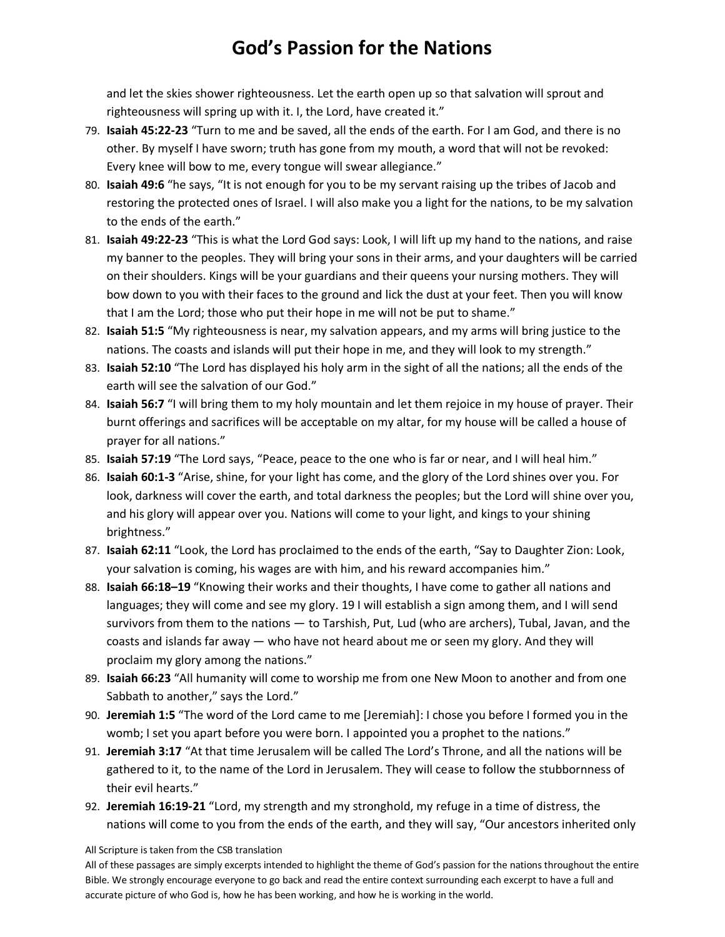and let the skies shower righteousness. Let the earth open up so that salvation will sprout and righteousness will spring up with it. I, the Lord, have created it."

- 79. **Isaiah 45:22-23** "Turn to me and be saved, all the ends of the earth. For I am God, and there is no other. By myself I have sworn; truth has gone from my mouth, a word that will not be revoked: Every knee will bow to me, every tongue will swear allegiance."
- 80. **Isaiah 49:6** "he says, "It is not enough for you to be my servant raising up the tribes of Jacob and restoring the protected ones of Israel. I will also make you a light for the nations, to be my salvation to the ends of the earth."
- 81. **Isaiah 49:22-23** "This is what the Lord God says: Look, I will lift up my hand to the nations, and raise my banner to the peoples. They will bring your sons in their arms, and your daughters will be carried on their shoulders. Kings will be your guardians and their queens your nursing mothers. They will bow down to you with their faces to the ground and lick the dust at your feet. Then you will know that I am the Lord; those who put their hope in me will not be put to shame."
- 82. **Isaiah 51:5** "My righteousness is near, my salvation appears, and my arms will bring justice to the nations. The coasts and islands will put their hope in me, and they will look to my strength."
- 83. **Isaiah 52:10** "The Lord has displayed his holy arm in the sight of all the nations; all the ends of the earth will see the salvation of our God."
- 84. **Isaiah 56:7** "I will bring them to my holy mountain and let them rejoice in my house of prayer. Their burnt offerings and sacrifices will be acceptable on my altar, for my house will be called a house of prayer for all nations."
- 85. **Isaiah 57:19** "The Lord says, "Peace, peace to the one who is far or near, and I will heal him."
- 86. **Isaiah 60:1-3** "Arise, shine, for your light has come, and the glory of the Lord shines over you. For look, darkness will cover the earth, and total darkness the peoples; but the Lord will shine over you, and his glory will appear over you. Nations will come to your light, and kings to your shining brightness."
- 87. **Isaiah 62:11** "Look, the Lord has proclaimed to the ends of the earth, "Say to Daughter Zion: Look, your salvation is coming, his wages are with him, and his reward accompanies him."
- 88. **Isaiah 66:18–19** "Knowing their works and their thoughts, I have come to gather all nations and languages; they will come and see my glory. 19 I will establish a sign among them, and I will send survivors from them to the nations — to Tarshish, Put, Lud (who are archers), Tubal, Javan, and the coasts and islands far away — who have not heard about me or seen my glory. And they will proclaim my glory among the nations."
- 89. **Isaiah 66:23** "All humanity will come to worship me from one New Moon to another and from one Sabbath to another," says the Lord."
- 90. **Jeremiah 1:5** "The word of the Lord came to me [Jeremiah]: I chose you before I formed you in the womb; I set you apart before you were born. I appointed you a prophet to the nations."
- 91. **Jeremiah 3:17** "At that time Jerusalem will be called The Lord's Throne, and all the nations will be gathered to it, to the name of the Lord in Jerusalem. They will cease to follow the stubbornness of their evil hearts."
- 92. **Jeremiah 16:19-21** "Lord, my strength and my stronghold, my refuge in a time of distress, the nations will come to you from the ends of the earth, and they will say, "Our ancestors inherited only

### All Scripture is taken from the CSB translation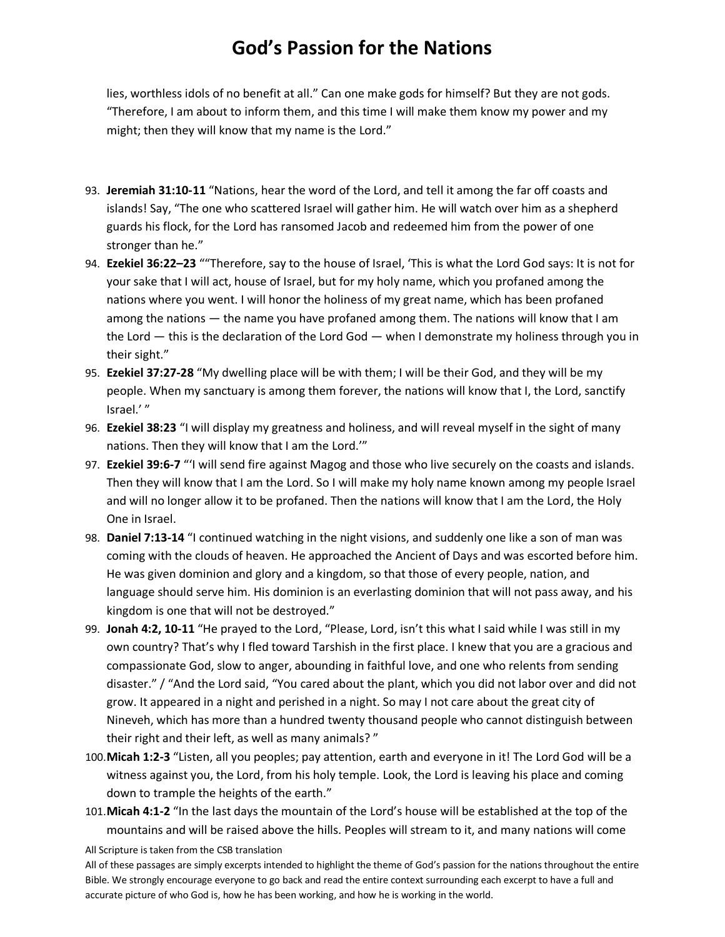lies, worthless idols of no benefit at all." Can one make gods for himself? But they are not gods. "Therefore, I am about to inform them, and this time I will make them know my power and my might; then they will know that my name is the Lord."

- 93. **Jeremiah 31:10-11** "Nations, hear the word of the Lord, and tell it among the far off coasts and islands! Say, "The one who scattered Israel will gather him. He will watch over him as a shepherd guards his flock, for the Lord has ransomed Jacob and redeemed him from the power of one stronger than he."
- 94. **Ezekiel 36:22–23** ""Therefore, say to the house of Israel, 'This is what the Lord God says: It is not for your sake that I will act, house of Israel, but for my holy name, which you profaned among the nations where you went. I will honor the holiness of my great name, which has been profaned among the nations — the name you have profaned among them. The nations will know that I am the Lord — this is the declaration of the Lord God — when I demonstrate my holiness through you in their sight."
- 95. **Ezekiel 37:27-28** "My dwelling place will be with them; I will be their God, and they will be my people. When my sanctuary is among them forever, the nations will know that I, the Lord, sanctify Israel.' "
- 96. **Ezekiel 38:23** "I will display my greatness and holiness, and will reveal myself in the sight of many nations. Then they will know that I am the Lord.'"
- 97. **Ezekiel 39:6-7** "'I will send fire against Magog and those who live securely on the coasts and islands. Then they will know that I am the Lord. So I will make my holy name known among my people Israel and will no longer allow it to be profaned. Then the nations will know that I am the Lord, the Holy One in Israel.
- 98. **Daniel 7:13-14** "I continued watching in the night visions, and suddenly one like a son of man was coming with the clouds of heaven. He approached the Ancient of Days and was escorted before him. He was given dominion and glory and a kingdom, so that those of every people, nation, and language should serve him. His dominion is an everlasting dominion that will not pass away, and his kingdom is one that will not be destroyed."
- 99. **Jonah 4:2, 10-11** "He prayed to the Lord, "Please, Lord, isn't this what I said while I was still in my own country? That's why I fled toward Tarshish in the first place. I knew that you are a gracious and compassionate God, slow to anger, abounding in faithful love, and one who relents from sending disaster." / "And the Lord said, "You cared about the plant, which you did not labor over and did not grow. It appeared in a night and perished in a night. So may I not care about the great city of Nineveh, which has more than a hundred twenty thousand people who cannot distinguish between their right and their left, as well as many animals? "
- 100.**Micah 1:2-3** "Listen, all you peoples; pay attention, earth and everyone in it! The Lord God will be a witness against you, the Lord, from his holy temple. Look, the Lord is leaving his place and coming down to trample the heights of the earth."
- 101.**Micah 4:1-2** "In the last days the mountain of the Lord's house will be established at the top of the mountains and will be raised above the hills. Peoples will stream to it, and many nations will come

### All Scripture is taken from the CSB translation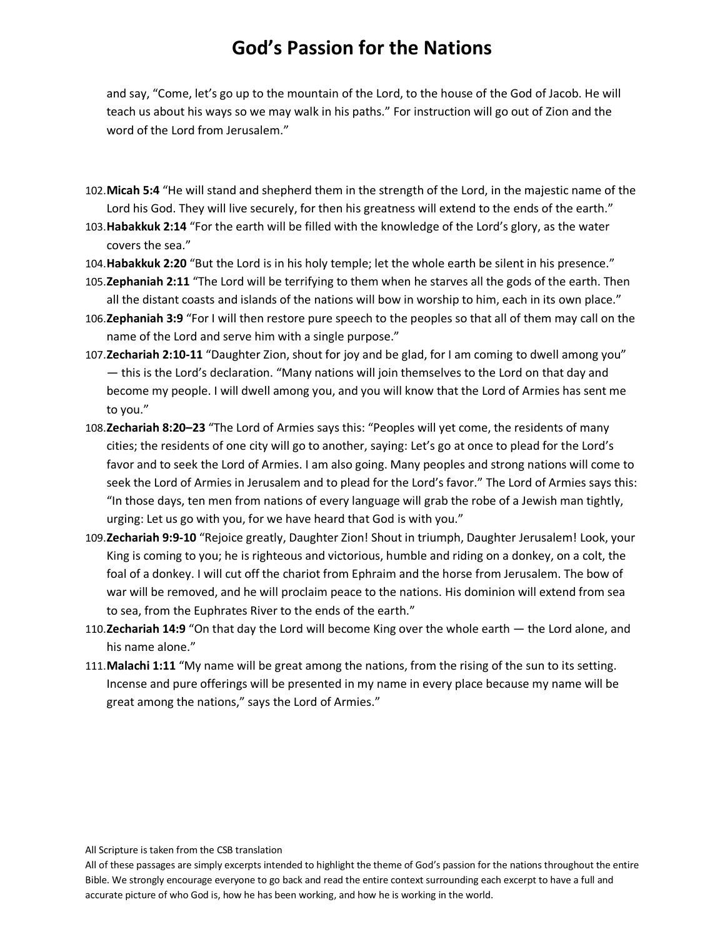and say, "Come, let's go up to the mountain of the Lord, to the house of the God of Jacob. He will teach us about his ways so we may walk in his paths." For instruction will go out of Zion and the word of the Lord from Jerusalem."

- 102.**Micah 5:4** "He will stand and shepherd them in the strength of the Lord, in the majestic name of the Lord his God. They will live securely, for then his greatness will extend to the ends of the earth."
- 103.**Habakkuk 2:14** "For the earth will be filled with the knowledge of the Lord's glory, as the water covers the sea."
- 104.**Habakkuk 2:20** "But the Lord is in his holy temple; let the whole earth be silent in his presence."
- 105.**Zephaniah 2:11** "The Lord will be terrifying to them when he starves all the gods of the earth. Then all the distant coasts and islands of the nations will bow in worship to him, each in its own place."
- 106.**Zephaniah 3:9** "For I will then restore pure speech to the peoples so that all of them may call on the name of the Lord and serve him with a single purpose."
- 107.**Zechariah 2:10-11** "Daughter Zion, shout for joy and be glad, for I am coming to dwell among you" — this is the Lord's declaration. "Many nations will join themselves to the Lord on that day and become my people. I will dwell among you, and you will know that the Lord of Armies has sent me to you."
- 108.**Zechariah 8:20–23** "The Lord of Armies says this: "Peoples will yet come, the residents of many cities; the residents of one city will go to another, saying: Let's go at once to plead for the Lord's favor and to seek the Lord of Armies. I am also going. Many peoples and strong nations will come to seek the Lord of Armies in Jerusalem and to plead for the Lord's favor." The Lord of Armies says this: "In those days, ten men from nations of every language will grab the robe of a Jewish man tightly, urging: Let us go with you, for we have heard that God is with you."
- 109.**Zechariah 9:9-10** "Rejoice greatly, Daughter Zion! Shout in triumph, Daughter Jerusalem! Look, your King is coming to you; he is righteous and victorious, humble and riding on a donkey, on a colt, the foal of a donkey. I will cut off the chariot from Ephraim and the horse from Jerusalem. The bow of war will be removed, and he will proclaim peace to the nations. His dominion will extend from sea to sea, from the Euphrates River to the ends of the earth."
- 110.**Zechariah 14:9** "On that day the Lord will become King over the whole earth the Lord alone, and his name alone."
- 111.**Malachi 1:11** "My name will be great among the nations, from the rising of the sun to its setting. Incense and pure offerings will be presented in my name in every place because my name will be great among the nations," says the Lord of Armies."

All of these passages are simply excerpts intended to highlight the theme of God's passion for the nations throughout the entire Bible. We strongly encourage everyone to go back and read the entire context surrounding each excerpt to have a full and accurate picture of who God is, how he has been working, and how he is working in the world.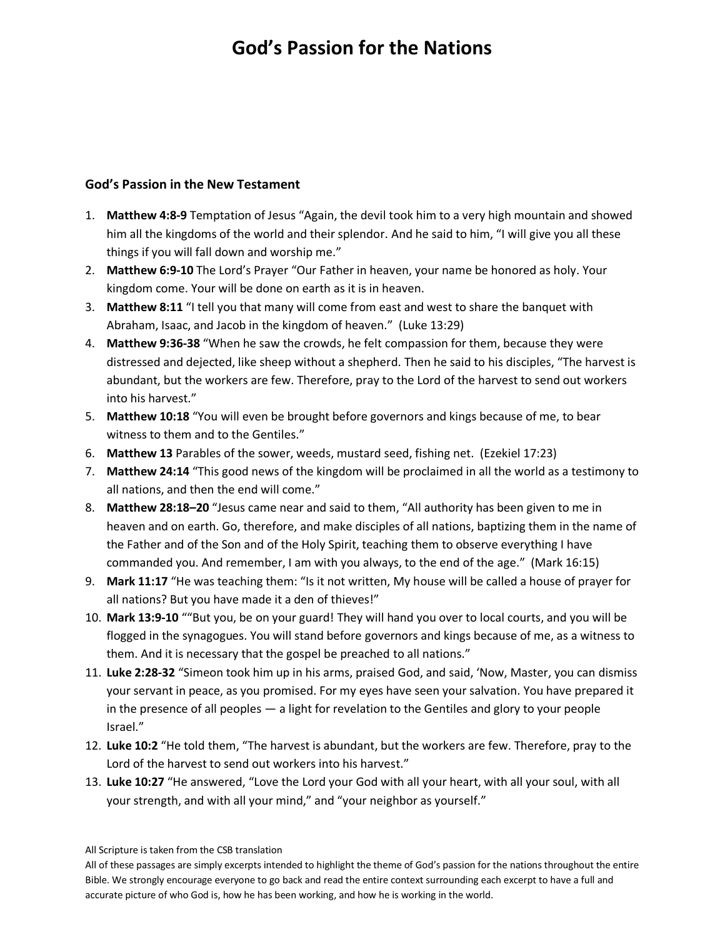### **God's Passion in the New Testament**

- 1. **Matthew 4:8-9** Temptation of Jesus "Again, the devil took him to a very high mountain and showed him all the kingdoms of the world and their splendor. And he said to him, "I will give you all these things if you will fall down and worship me."
- 2. **Matthew 6:9-10** The Lord's Prayer "Our Father in heaven, your name be honored as holy. Your kingdom come. Your will be done on earth as it is in heaven.
- 3. **Matthew 8:11** "I tell you that many will come from east and west to share the banquet with Abraham, Isaac, and Jacob in the kingdom of heaven." (Luke 13:29)
- 4. **Matthew 9:36-38** "When he saw the crowds, he felt compassion for them, because they were distressed and dejected, like sheep without a shepherd. Then he said to his disciples, "The harvest is abundant, but the workers are few. Therefore, pray to the Lord of the harvest to send out workers into his harvest."
- 5. **Matthew 10:18** "You will even be brought before governors and kings because of me, to bear witness to them and to the Gentiles."
- 6. **Matthew 13** Parables of the sower, weeds, mustard seed, fishing net. (Ezekiel 17:23)
- 7. **Matthew 24:14** "This good news of the kingdom will be proclaimed in all the world as a testimony to all nations, and then the end will come."
- 8. **Matthew 28:18–20** "Jesus came near and said to them, "All authority has been given to me in heaven and on earth. Go, therefore, and make disciples of all nations, baptizing them in the name of the Father and of the Son and of the Holy Spirit, teaching them to observe everything I have commanded you. And remember, I am with you always, to the end of the age." (Mark 16:15)
- 9. **Mark 11:17** "He was teaching them: "Is it not written, My house will be called a house of prayer for all nations? But you have made it a den of thieves!"
- 10. **Mark 13:9-10** ""But you, be on your guard! They will hand you over to local courts, and you will be flogged in the synagogues. You will stand before governors and kings because of me, as a witness to them. And it is necessary that the gospel be preached to all nations."
- 11. **Luke 2:28-32** "Simeon took him up in his arms, praised God, and said, 'Now, Master, you can dismiss your servant in peace, as you promised. For my eyes have seen your salvation. You have prepared it in the presence of all peoples — a light for revelation to the Gentiles and glory to your people Israel."
- 12. **Luke 10:2** "He told them, "The harvest is abundant, but the workers are few. Therefore, pray to the Lord of the harvest to send out workers into his harvest."
- 13. **Luke 10:27** "He answered, "Love the Lord your God with all your heart, with all your soul, with all your strength, and with all your mind," and "your neighbor as yourself."

All of these passages are simply excerpts intended to highlight the theme of God's passion for the nations throughout the entire Bible. We strongly encourage everyone to go back and read the entire context surrounding each excerpt to have a full and accurate picture of who God is, how he has been working, and how he is working in the world.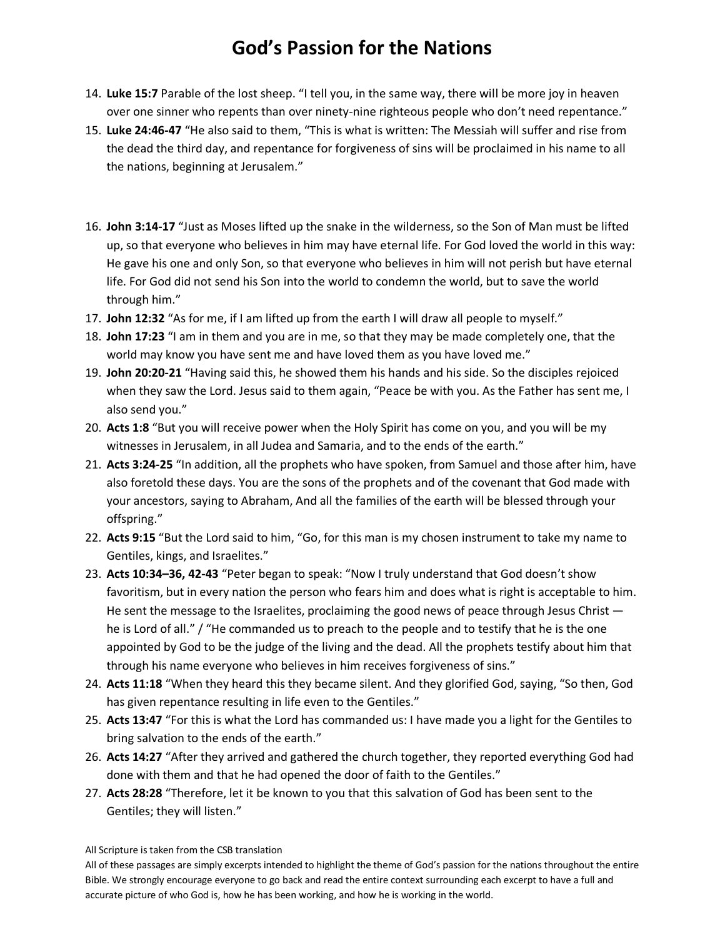- 14. **Luke 15:7** Parable of the lost sheep. "I tell you, in the same way, there will be more joy in heaven over one sinner who repents than over ninety-nine righteous people who don't need repentance."
- 15. **Luke 24:46-47** "He also said to them, "This is what is written: The Messiah will suffer and rise from the dead the third day, and repentance for forgiveness of sins will be proclaimed in his name to all the nations, beginning at Jerusalem."
- 16. **John 3:14-17** "Just as Moses lifted up the snake in the wilderness, so the Son of Man must be lifted up, so that everyone who believes in him may have eternal life. For God loved the world in this way: He gave his one and only Son, so that everyone who believes in him will not perish but have eternal life. For God did not send his Son into the world to condemn the world, but to save the world through him."
- 17. **John 12:32** "As for me, if I am lifted up from the earth I will draw all people to myself."
- 18. **John 17:23** "I am in them and you are in me, so that they may be made completely one, that the world may know you have sent me and have loved them as you have loved me."
- 19. **John 20:20-21** "Having said this, he showed them his hands and his side. So the disciples rejoiced when they saw the Lord. Jesus said to them again, "Peace be with you. As the Father has sent me, I also send you."
- 20. **Acts 1:8** "But you will receive power when the Holy Spirit has come on you, and you will be my witnesses in Jerusalem, in all Judea and Samaria, and to the ends of the earth."
- 21. **Acts 3:24-25** "In addition, all the prophets who have spoken, from Samuel and those after him, have also foretold these days. You are the sons of the prophets and of the covenant that God made with your ancestors, saying to Abraham, And all the families of the earth will be blessed through your offspring."
- 22. **Acts 9:15** "But the Lord said to him, "Go, for this man is my chosen instrument to take my name to Gentiles, kings, and Israelites."
- 23. **Acts 10:34–36, 42-43** "Peter began to speak: "Now I truly understand that God doesn't show favoritism, but in every nation the person who fears him and does what is right is acceptable to him. He sent the message to the Israelites, proclaiming the good news of peace through Jesus Christ he is Lord of all." / "He commanded us to preach to the people and to testify that he is the one appointed by God to be the judge of the living and the dead. All the prophets testify about him that through his name everyone who believes in him receives forgiveness of sins."
- 24. **Acts 11:18** "When they heard this they became silent. And they glorified God, saying, "So then, God has given repentance resulting in life even to the Gentiles."
- 25. **Acts 13:47** "For this is what the Lord has commanded us: I have made you a light for the Gentiles to bring salvation to the ends of the earth."
- 26. **Acts 14:27** "After they arrived and gathered the church together, they reported everything God had done with them and that he had opened the door of faith to the Gentiles."
- 27. **Acts 28:28** "Therefore, let it be known to you that this salvation of God has been sent to the Gentiles; they will listen."

All Scripture is taken from the CSB translation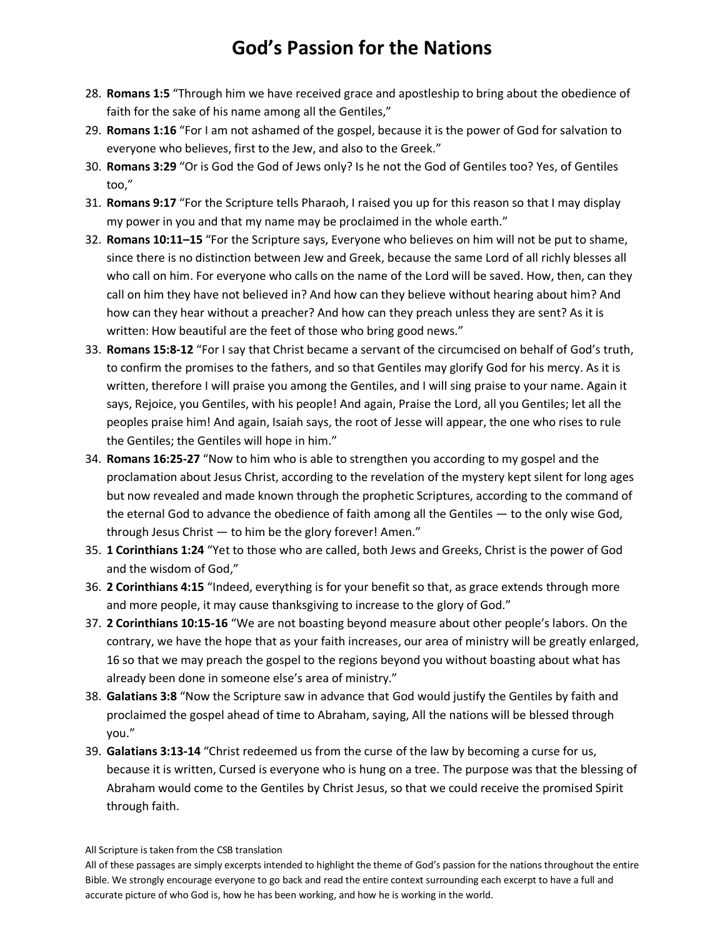- 28. **Romans 1:5** "Through him we have received grace and apostleship to bring about the obedience of faith for the sake of his name among all the Gentiles,"
- 29. **Romans 1:16** "For I am not ashamed of the gospel, because it is the power of God for salvation to everyone who believes, first to the Jew, and also to the Greek."
- 30. **Romans 3:29** "Or is God the God of Jews only? Is he not the God of Gentiles too? Yes, of Gentiles too,"
- 31. **Romans 9:17** "For the Scripture tells Pharaoh, I raised you up for this reason so that I may display my power in you and that my name may be proclaimed in the whole earth."
- 32. **Romans 10:11–15** "For the Scripture says, Everyone who believes on him will not be put to shame, since there is no distinction between Jew and Greek, because the same Lord of all richly blesses all who call on him. For everyone who calls on the name of the Lord will be saved. How, then, can they call on him they have not believed in? And how can they believe without hearing about him? And how can they hear without a preacher? And how can they preach unless they are sent? As it is written: How beautiful are the feet of those who bring good news."
- 33. **Romans 15:8-12** "For I say that Christ became a servant of the circumcised on behalf of God's truth, to confirm the promises to the fathers, and so that Gentiles may glorify God for his mercy. As it is written, therefore I will praise you among the Gentiles, and I will sing praise to your name. Again it says, Rejoice, you Gentiles, with his people! And again, Praise the Lord, all you Gentiles; let all the peoples praise him! And again, Isaiah says, the root of Jesse will appear, the one who rises to rule the Gentiles; the Gentiles will hope in him."
- 34. **Romans 16:25-27** "Now to him who is able to strengthen you according to my gospel and the proclamation about Jesus Christ, according to the revelation of the mystery kept silent for long ages but now revealed and made known through the prophetic Scriptures, according to the command of the eternal God to advance the obedience of faith among all the Gentiles — to the only wise God, through Jesus Christ — to him be the glory forever! Amen."
- 35. **1 Corinthians 1:24** "Yet to those who are called, both Jews and Greeks, Christ is the power of God and the wisdom of God,"
- 36. **2 Corinthians 4:15** "Indeed, everything is for your benefit so that, as grace extends through more and more people, it may cause thanksgiving to increase to the glory of God."
- 37. **2 Corinthians 10:15-16** "We are not boasting beyond measure about other people's labors. On the contrary, we have the hope that as your faith increases, our area of ministry will be greatly enlarged, 16 so that we may preach the gospel to the regions beyond you without boasting about what has already been done in someone else's area of ministry."
- 38. **Galatians 3:8** "Now the Scripture saw in advance that God would justify the Gentiles by faith and proclaimed the gospel ahead of time to Abraham, saying, All the nations will be blessed through you."
- 39. **Galatians 3:13-14** "Christ redeemed us from the curse of the law by becoming a curse for us, because it is written, Cursed is everyone who is hung on a tree. The purpose was that the blessing of Abraham would come to the Gentiles by Christ Jesus, so that we could receive the promised Spirit through faith.

All Scripture is taken from the CSB translation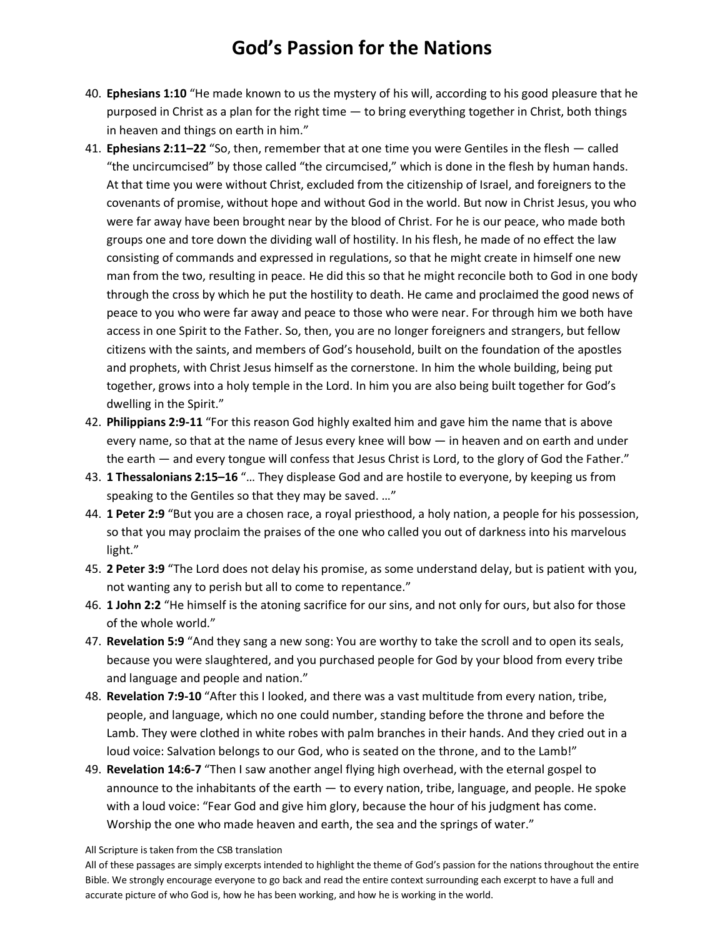- 40. **Ephesians 1:10** "He made known to us the mystery of his will, according to his good pleasure that he purposed in Christ as a plan for the right time — to bring everything together in Christ, both things in heaven and things on earth in him."
- 41. **Ephesians 2:11–22** "So, then, remember that at one time you were Gentiles in the flesh called "the uncircumcised" by those called "the circumcised," which is done in the flesh by human hands. At that time you were without Christ, excluded from the citizenship of Israel, and foreigners to the covenants of promise, without hope and without God in the world. But now in Christ Jesus, you who were far away have been brought near by the blood of Christ. For he is our peace, who made both groups one and tore down the dividing wall of hostility. In his flesh, he made of no effect the law consisting of commands and expressed in regulations, so that he might create in himself one new man from the two, resulting in peace. He did this so that he might reconcile both to God in one body through the cross by which he put the hostility to death. He came and proclaimed the good news of peace to you who were far away and peace to those who were near. For through him we both have access in one Spirit to the Father. So, then, you are no longer foreigners and strangers, but fellow citizens with the saints, and members of God's household, built on the foundation of the apostles and prophets, with Christ Jesus himself as the cornerstone. In him the whole building, being put together, grows into a holy temple in the Lord. In him you are also being built together for God's dwelling in the Spirit."
- 42. **Philippians 2:9-11** "For this reason God highly exalted him and gave him the name that is above every name, so that at the name of Jesus every knee will bow — in heaven and on earth and under the earth — and every tongue will confess that Jesus Christ is Lord, to the glory of God the Father."
- 43. **1 Thessalonians 2:15–16** "… They displease God and are hostile to everyone, by keeping us from speaking to the Gentiles so that they may be saved. …"
- 44. **1 Peter 2:9** "But you are a chosen race, a royal priesthood, a holy nation, a people for his possession, so that you may proclaim the praises of the one who called you out of darkness into his marvelous light."
- 45. **2 Peter 3:9** "The Lord does not delay his promise, as some understand delay, but is patient with you, not wanting any to perish but all to come to repentance."
- 46. **1 John 2:2** "He himself is the atoning sacrifice for our sins, and not only for ours, but also for those of the whole world."
- 47. **Revelation 5:9** "And they sang a new song: You are worthy to take the scroll and to open its seals, because you were slaughtered, and you purchased people for God by your blood from every tribe and language and people and nation."
- 48. **Revelation 7:9-10** "After this I looked, and there was a vast multitude from every nation, tribe, people, and language, which no one could number, standing before the throne and before the Lamb. They were clothed in white robes with palm branches in their hands. And they cried out in a loud voice: Salvation belongs to our God, who is seated on the throne, and to the Lamb!"
- 49. **Revelation 14:6-7** "Then I saw another angel flying high overhead, with the eternal gospel to announce to the inhabitants of the earth — to every nation, tribe, language, and people. He spoke with a loud voice: "Fear God and give him glory, because the hour of his judgment has come. Worship the one who made heaven and earth, the sea and the springs of water."

All Scripture is taken from the CSB translation